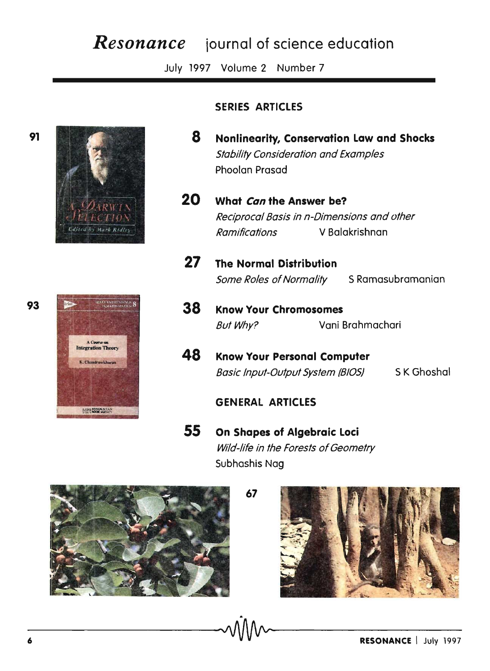# *Resonance* **iournal of science education**

July 1997 Volume 2 Number 7





# **SERIES ARTICLES**

- **8 Nonlinearity, Conservation Law and Shocks**  Stability Consideration and Examples Phoolan Prasad
- **20 What Can the Answer be?**  Reciprocal Basis in n-Dimensions and other Ramifications V Balakrishnan
- **27 The Normal Distribution**  Some Roles of Normality S Ramasubramanian
- **38 Know Your Chromosomes**  But Why? Vani Brahmachari
- **48 Know Your Personal Computer**  Basic Input-Output System (BIOS) 5 K Ghoshal

## **GENERAL ARTICLES**

**67** 

**55 On Shapes of Algebraic Loci**  Wild-life in the Forests of Geometry Subhashis Nag



**91**